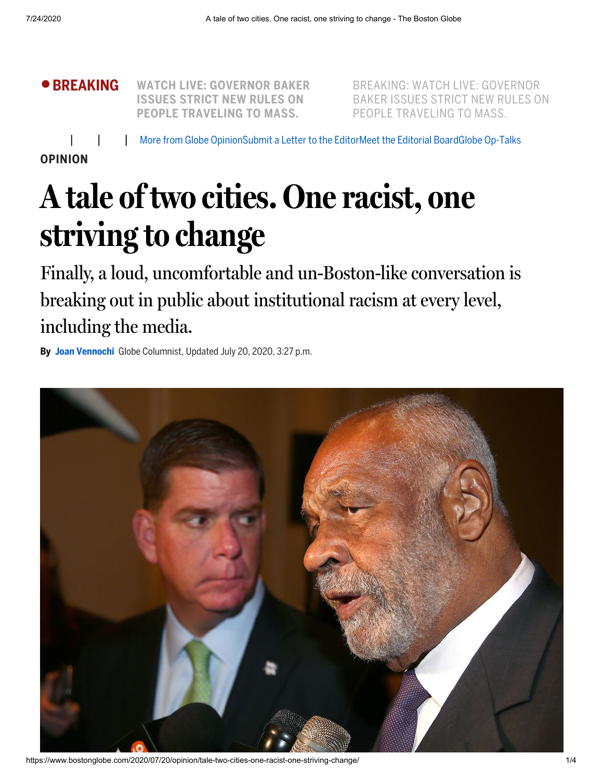

BREAKING: WATCH LIVE: [GOVERNOR](https://www.bostonglobe.com/news/nation/2019/12/12/watch-live-governor-andrew-cuomo-gives-update-coronavirus-response/uuSOmtCihEr8HBfQLgH6KJ/story.html?p1=BGHeader_BreakingBar_Headline) BAKER ISSUES STRICT NEW RULES ON PEOPLE TRAVELING TO MASS.

More from Globe [Opinion](https://www.bostonglobe.com/opinion/?p1=Article_Utility)[Submit](https://www.bostonglobe.com/2011/09/10/bgcom-lettersubmit/XHnJoyNpBDC80qGtpMGSsL/story.html?p1=Article_Utility) a Letter to the EditorMeet the [Editorial](https://www.bostonglobe.com/opinion/2018/05/22/guide-globe-opinion/BEw1XU0uyEag9ceSF1vvLJ/story.html?p1=Article_Utility) BoardGlobe [Op-Talks](https://www.bostonglobe.com/opinion/optalks/?p1=Article_Utility)

**OPINION**

## **A tale of two cities. One racist, one striving to change**

Finally, a loud, uncomfortable and un-Boston-like conversation is breaking out in public about institutional racism at every level, including the media.

**By Joan [Vennochi](https://www.bostonglobe.com/about/staff-list/columnist/joan-vennochi/?p1=Article_Byline)** Globe Columnist, Updated July 20, 2020, 3:27 p.m.

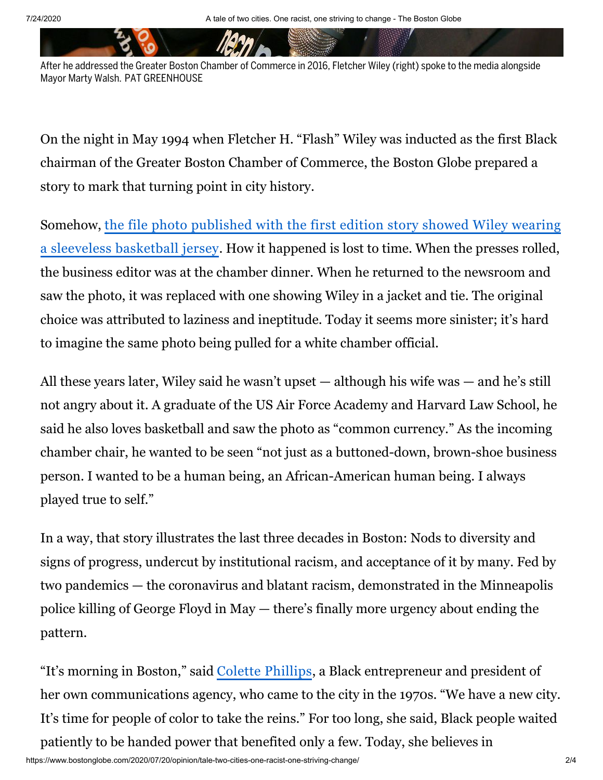After he addressed the Greater Boston Chamber of Commerce in 2016, Fletcher Wiley (right) spoke to the media alongside Mayor Marty Walsh. PAT GREENHOUSE

On the night in May 1994 when Fletcher H. "Flash" Wiley was inducted as the first Black chairman of the Greater Boston Chamber of Commerce, the Boston Globe prepared a story to mark that turning point in city history.

Somehow, the file photo published with the first edition story showed Wiley wearing a sleeveless basketball [jersey. How it happened is lost to time. When the presses rolled,](https://www.newspapers.com/newspage/440622064/) the business editor was at the chamber dinner. When he returned to the newsroom and saw the photo, it was replaced with one showing Wiley in a jacket and tie. The original choice was attributed to laziness and ineptitude. Today it seems more sinister; it's hard to imagine the same photo being pulled for a white chamber official.

All these years later, Wiley said he wasn't upset — although his wife was — and he's still not angry about it. A graduate of the US Air Force Academy and Harvard Law School, he said he also loves basketball and saw the photo as "common currency." As the incoming chamber chair, he wanted to be seen "not just as a buttoned-down, brown-shoe business person. I wanted to be a human being, an African-American human being. I always played true to self."

In a way, that story illustrates the last three decades in Boston: Nods to diversity and signs of progress, undercut by institutional racism, and acceptance of it by many. Fed by two pandemics — the coronavirus and blatant racism, demonstrated in the Minneapolis police killing of George Floyd in May — there's finally more urgency about ending the pattern.

"It's morning in Boston," said Colette [Phillips](https://www.cpcglobal.com/), a Black entrepreneur and president of her own communications agency, who came to the city in the 1970s. "We have a new city. It's time for people of color to take the reins." For too long, she said, Black people waited patiently to be handed power that benefited only a few. Today, she believes in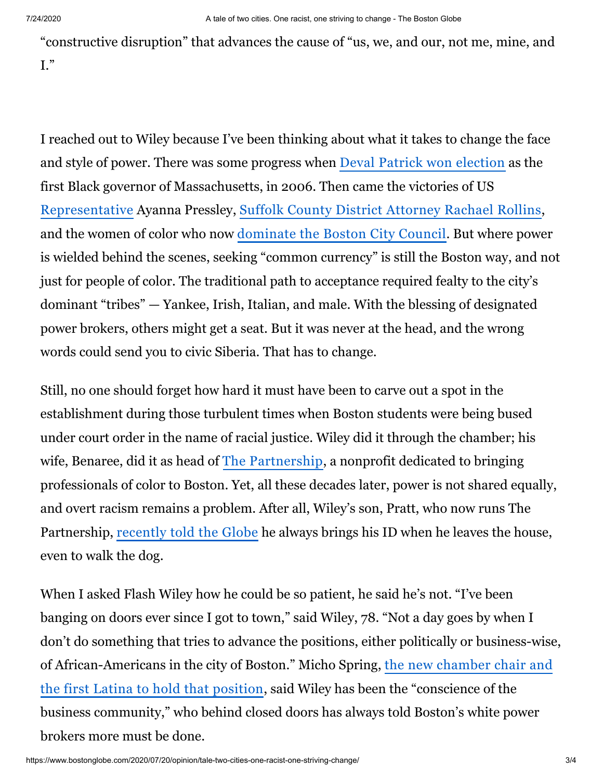"constructive disruption" that advances the cause of "us, we, and our, not me, mine, and I."

I reached out to Wiley because I've been thinking about what it takes to change the face and style of power. There was some progress when Deval Patrick won [election](http://archive.boston.com/news/local/politics/candidates/articles/2006/11/07/patrick_makes_history/) as the first Black governor of Massachusetts, in 2006. Then came the victories of US [Representative](https://www.bostonglobe.com/opinion/editorials/2018/09/04/political-earthquake-massachusetts-politics/DjRqC88CMrDjzXo4XAztFM/story.html?p1=Article_Inline_Text_Link) Ayanna Pressley, Suffolk County District [Attorney](https://www.bostonglobe.com/metro/2018/11/06/contested-races-for-decided-mass-counties/ZqYhxN69Yx6hOwHPGp7ZtJ/story.html?p1=Article_Inline_Text_Link) Rachael Rollins, and the women of color who now [dominate](https://www.boston.com/news/politics/2019/11/06/boston-city-council-female-and-minority-majority) the Boston City Council. But where power is wielded behind the scenes, seeking "common currency" is still the Boston way, and not just for people of color. The traditional path to acceptance required fealty to the city's dominant "tribes" — Yankee, Irish, Italian, and male. With the blessing of designated power brokers, others might get a seat. But it was never at the head, and the wrong words could send you to civic Siberia. That has to change.

Still, no one should forget how hard it must have been to carve out a spot in the establishment during those turbulent times when Boston students were being bused under court order in the name of racial justice. Wiley did it through the chamber; his wife, Benaree, did it as head of The [Partnership](https://www.thepartnershipinc.org/), a nonprofit dedicated to bringing professionals of color to Boston. Yet, all these decades later, power is not shared equally, and overt racism remains a problem. After all, Wiley's son, Pratt, who now runs The Partnership, [recently](https://www.bostonglobe.com/2020/06/06/business/george-floyd-protests-bring-me-too-reckoning-race/?p1=Article_Inline_Text_Link) told the Globe he always brings his ID when he leaves the house, even to walk the dog.

When I asked Flash Wiley how he could be so patient, he said he's not. "I've been banging on doors ever since I got to town," said Wiley, 78. "Not a day goes by when I don't do something that tries to advance the positions, either politically or business-wise, [of African-Americans in the city of Boston." Micho Spring, the](https://www.bostonchamber.com/about-us/media-center/weber-shandwicks-micho-spring-voted-in-as-next-board-chair-for-the-greater-boston-chamber-of-commerce/) new chamber chair and the first Latina to hold that position, said Wiley has been the "conscience of the business community," who behind closed doors has always told Boston's white power brokers more must be done.